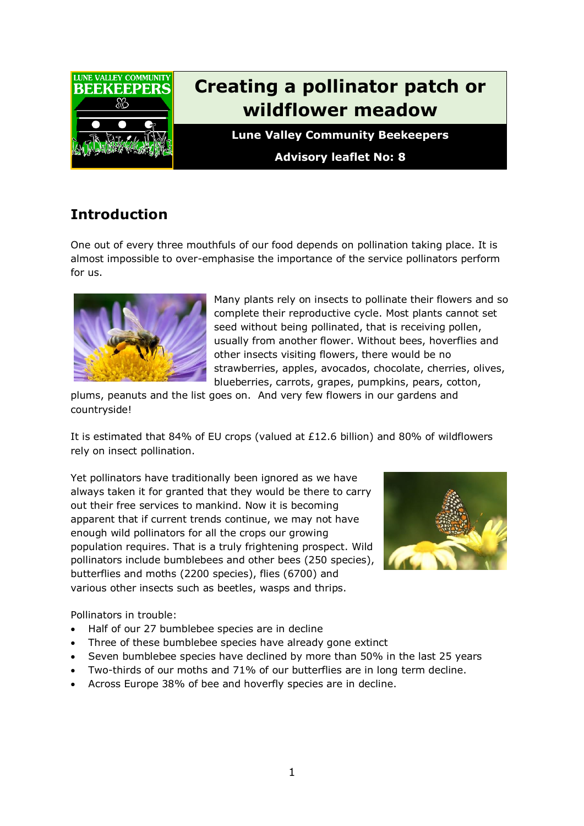

# **Creating a pollinator patch or wildflower meadow**

**Lune Valley Community Beekeepers**

**Advisory leaflet No: 8**

# **Introduction**

One out of every three mouthfuls of our food depends on pollination taking place. It is almost impossible to over-emphasise the importance of the service pollinators perform for us.



Many plants rely on insects to pollinate their flowers and so complete their reproductive cycle. Most plants cannot set seed without being pollinated, that is receiving pollen, usually from another flower. Without bees, hoverflies and other insects visiting flowers, there would be no strawberries, apples, avocados, chocolate, cherries, olives, blueberries, carrots, grapes, pumpkins, pears, cotton,

plums, peanuts and the list goes on. And very few flowers in our gardens and countryside!

It is estimated that 84% of EU crops (valued at £12.6 billion) and 80% of wildflowers rely on insect pollination.

Yet pollinators have traditionally been ignored as we have always taken it for granted that they would be there to carry out their free services to mankind. Now it is becoming apparent that if current trends continue, we may not have enough wild pollinators for all the crops our growing population requires. That is a truly frightening prospect. Wild pollinators include bumblebees and other bees (250 species), butterflies and moths (2200 species), flies (6700) and various other insects such as beetles, wasps and thrips.



Pollinators in trouble:

- Half of our 27 bumblebee species are in decline
- Three of these bumblebee species have already gone extinct
- Seven bumblebee species have declined by more than 50% in the last 25 years
- Two-thirds of our moths and 71% of our butterflies are in long term decline.
- Across Europe 38% of bee and hoverfly species are in decline.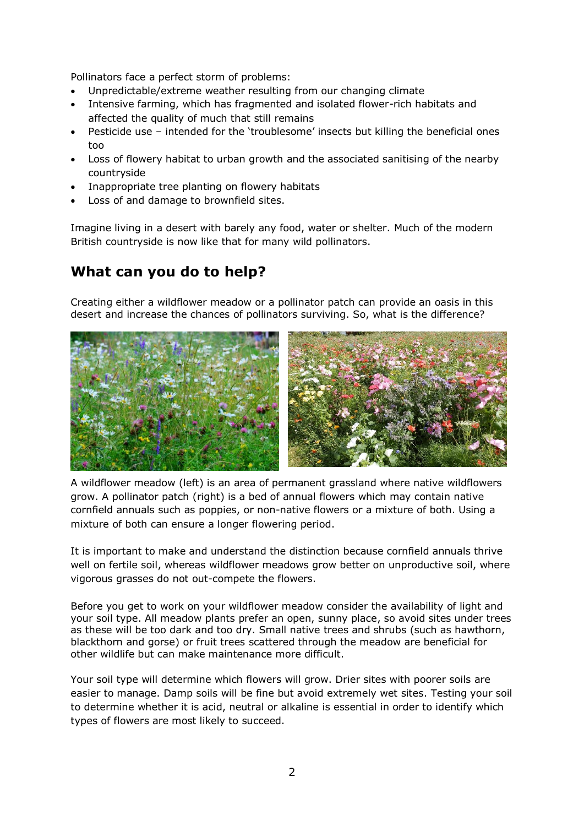Pollinators face a perfect storm of problems:

- Unpredictable/extreme weather resulting from our changing climate
- Intensive farming, which has fragmented and isolated flower-rich habitats and affected the quality of much that still remains
- Pesticide use intended for the 'troublesome' insects but killing the beneficial ones too
- Loss of flowery habitat to urban growth and the associated sanitising of the nearby countryside
- Inappropriate tree planting on flowery habitats
- Loss of and damage to brownfield sites.

Imagine living in a desert with barely any food, water or shelter. Much of the modern British countryside is now like that for many wild pollinators.

#### **What can you do to help?**

Creating either a wildflower meadow or a pollinator patch can provide an oasis in this desert and increase the chances of pollinators surviving. So, what is the difference?



A wildflower meadow (left) is an area of permanent grassland where native wildflowers grow. A pollinator patch (right) is a bed of annual flowers which may contain native cornfield annuals such as poppies, or non-native flowers or a mixture of both. Using a mixture of both can ensure a longer flowering period.

It is important to make and understand the distinction because cornfield annuals thrive well on fertile soil, whereas wildflower meadows grow better on unproductive soil, where vigorous grasses do not out-compete the flowers.

Before you get to work on your wildflower meadow consider the availability of light and your soil type. All meadow plants prefer an open, sunny place, so avoid sites under trees as these will be too dark and too dry. Small native trees and shrubs (such as hawthorn, blackthorn and gorse) or fruit trees scattered through the meadow are beneficial for other wildlife but can make maintenance more difficult.

Your soil type will determine which flowers will grow. Drier sites with poorer soils are easier to manage. Damp soils will be fine but avoid extremely wet sites. Testing your soil to determine whether it is acid, neutral or alkaline is essential in order to identify which types of flowers are most likely to succeed.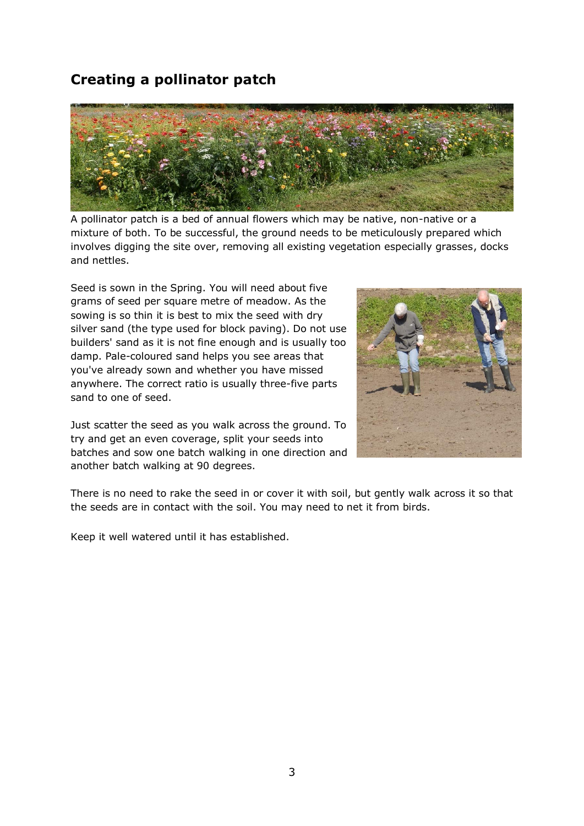# **Creating a pollinator patch**



A pollinator patch is a bed of annual flowers which may be native, non-native or a mixture of both. To be successful, the ground needs to be meticulously prepared which involves digging the site over, removing all existing vegetation especially grasses, docks and nettles.

Seed is sown in the Spring. You will need about five grams of seed per square metre of meadow. As the sowing is so thin it is best to mix the seed with dry silver sand (the type used for block paving). Do not use builders' sand as it is not fine enough and is usually too damp. Pale-coloured sand helps you see areas that you've already sown and whether you have missed anywhere. The correct ratio is usually three-five parts sand to one of seed.

Just scatter the seed as you walk across the ground. To try and get an even coverage, split your seeds into batches and sow one batch walking in one direction and another batch walking at 90 degrees.



There is no need to rake the seed in or cover it with soil, but gently walk across it so that the seeds are in contact with the soil. You may need to net it from birds.

Keep it well watered until it has established.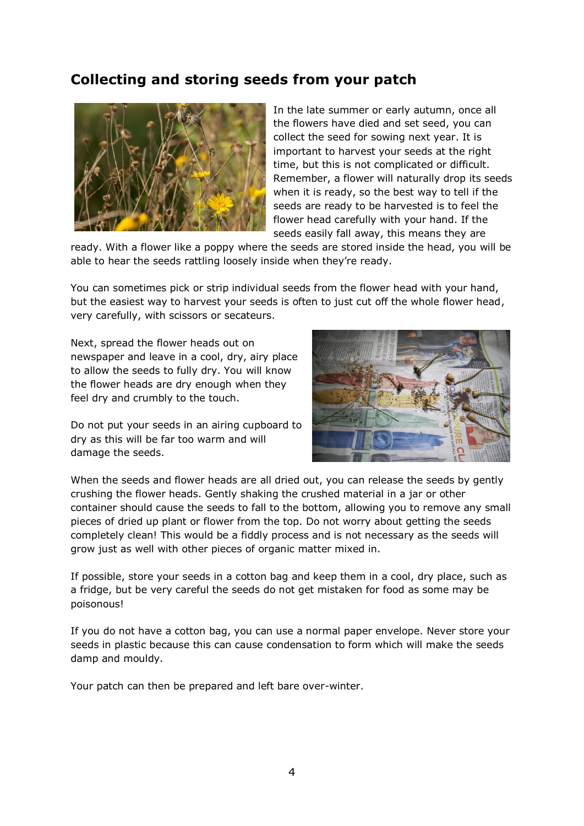#### **Collecting and storing seeds from your patch**



In the late summer or early autumn, once all the flowers have died and set seed, you can collect the seed for sowing next year. It is important to harvest your seeds at the right time, but this is not complicated or difficult. Remember, a flower will naturally drop its seeds when it is ready, so the best way to tell if the seeds are ready to be harvested is to feel the flower head carefully with your hand. If the seeds easily fall away, this means they are

ready. With a flower like a poppy where the seeds are stored inside the head, you will be able to hear the seeds rattling loosely inside when they're ready.

You can sometimes pick or strip individual seeds from the flower head with your hand, but the easiest way to harvest your seeds is often to just cut off the whole flower head, very carefully, with scissors or secateurs.

Next, spread the flower heads out on newspaper and leave in a cool, dry, airy place to allow the seeds to fully dry. You will know the flower heads are dry enough when they feel dry and crumbly to the touch.





When the seeds and flower heads are all dried out, you can release the seeds by gently crushing the flower heads. Gently shaking the crushed material in a jar or other container should cause the seeds to fall to the bottom, allowing you to remove any small pieces of dried up plant or flower from the top. Do not worry about getting the seeds completely clean! This would be a fiddly process and is not necessary as the seeds will grow just as well with other pieces of organic matter mixed in.

If possible, store your seeds in a cotton bag and keep them in a cool, dry place, such as a fridge, but be very careful the seeds do not get mistaken for food as some may be poisonous!

If you do not have a cotton bag, you can use a normal paper envelope. Never store your seeds in plastic because this can cause condensation to form which will make the seeds damp and mouldy.

Your patch can then be prepared and left bare over-winter.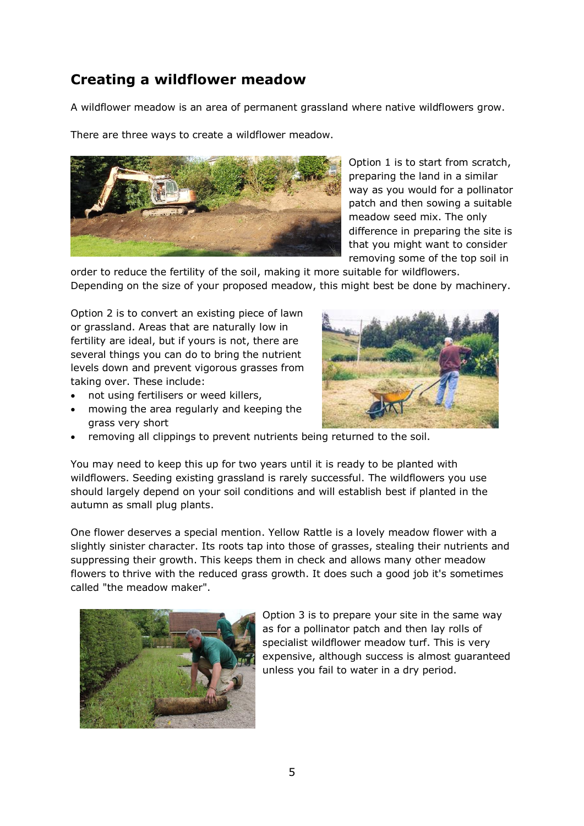# **Creating a wildflower meadow**

A wildflower meadow is an area of permanent grassland where native wildflowers grow.

There are three ways to create a wildflower meadow.



Option 1 is to start from scratch, preparing the land in a similar way as you would for a pollinator patch and then sowing a suitable meadow seed mix. The only difference in preparing the site is that you might want to consider removing some of the top soil in

order to reduce the fertility of the soil, making it more suitable for wildflowers. Depending on the size of your proposed meadow, this might best be done by machinery.

Option 2 is to convert an existing piece of lawn or grassland. Areas that are naturally low in fertility are ideal, but if yours is not, there are several things you can do to bring the nutrient levels down and prevent vigorous grasses from taking over. These include:

- not using fertilisers or weed killers,
- mowing the area regularly and keeping the grass very short
- 
- removing all clippings to prevent nutrients being returned to the soil.

You may need to keep this up for two years until it is ready to be planted with wildflowers. Seeding existing grassland is rarely successful. The wildflowers you use should largely depend on your soil conditions and will establish best if planted in the autumn as small plug plants.

One flower deserves a special mention. Yellow Rattle is a lovely meadow flower with a slightly sinister character. Its roots tap into those of grasses, stealing their nutrients and suppressing their growth. This keeps them in check and allows many other meadow flowers to thrive with the reduced grass growth. It does such a good job it's sometimes called "the meadow maker".



Option 3 is to prepare your site in the same way as for a pollinator patch and then lay rolls of specialist wildflower meadow turf. This is very expensive, although success is almost guaranteed unless you fail to water in a dry period.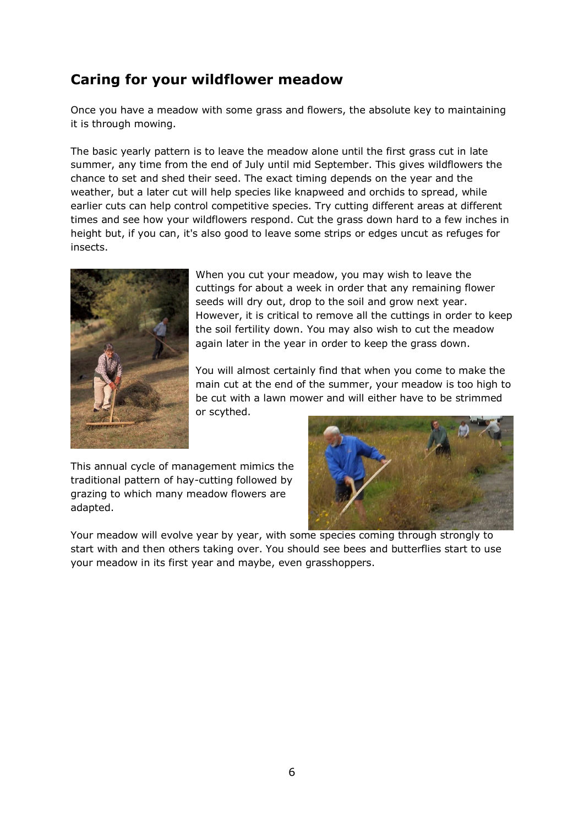# **Caring for your wildflower meadow**

Once you have a meadow with some grass and flowers, the absolute key to maintaining it is through mowing.

The basic yearly pattern is to leave the meadow alone until the first grass cut in late summer, any time from the end of July until mid September. This gives wildflowers the chance to set and shed their seed. The exact timing depends on the year and the weather, but a later cut will help species like knapweed and orchids to spread, while earlier cuts can help control competitive species. Try cutting different areas at different times and see how your wildflowers respond. Cut the grass down hard to a few inches in height but, if you can, it's also good to leave some strips or edges uncut as refuges for insects.



When you cut your meadow, you may wish to leave the cuttings for about a week in order that any remaining flower seeds will dry out, drop to the soil and grow next year. However, it is critical to remove all the cuttings in order to keep the soil fertility down. You may also wish to cut the meadow again later in the year in order to keep the grass down.

You will almost certainly find that when you come to make the main cut at the end of the summer, your meadow is too high to be cut with a lawn mower and will either have to be strimmed or scythed.

This annual cycle of management mimics the traditional pattern of hay-cutting followed by grazing to which many meadow flowers are adapted.



Your meadow will evolve year by year, with some species coming through strongly to start with and then others taking over. You should see bees and butterflies start to use your meadow in its first year and maybe, even grasshoppers.